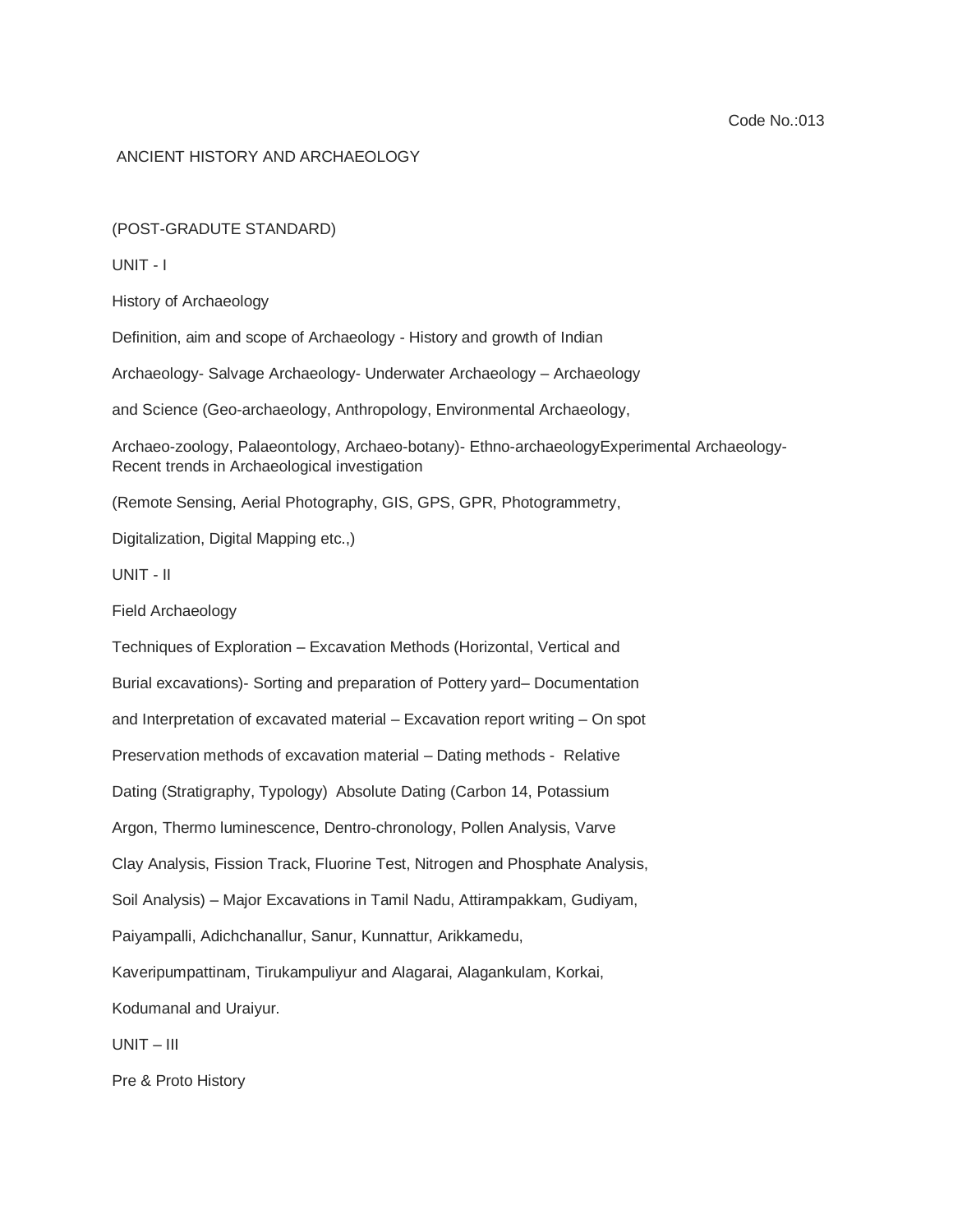## ANCIENT HISTORY AND ARCHAEOLOGY

(POST-GRADUTE STANDARD)

UNIT - I

History of Archaeology

Definition, aim and scope of Archaeology - History and growth of Indian

Archaeology- Salvage Archaeology- Underwater Archaeology – Archaeology

and Science (Geo-archaeology, Anthropology, Environmental Archaeology,

Archaeo-zoology, Palaeontology, Archaeo-botany)- Ethno-archaeologyExperimental Archaeology-Recent trends in Archaeological investigation

(Remote Sensing, Aerial Photography, GIS, GPS, GPR, Photogrammetry,

Digitalization, Digital Mapping etc.,)

UNIT - II

Field Archaeology

Techniques of Exploration – Excavation Methods (Horizontal, Vertical and Burial excavations)- Sorting and preparation of Pottery yard– Documentation and Interpretation of excavated material – Excavation report writing – On spot Preservation methods of excavation material – Dating methods - Relative Dating (Stratigraphy, Typology) Absolute Dating (Carbon 14, Potassium Argon, Thermo luminescence, Dentro-chronology, Pollen Analysis, Varve Clay Analysis, Fission Track, Fluorine Test, Nitrogen and Phosphate Analysis, Soil Analysis) – Major Excavations in Tamil Nadu, Attirampakkam, Gudiyam, Paiyampalli, Adichchanallur, Sanur, Kunnattur, Arikkamedu, Kaveripumpattinam, Tirukampuliyur and Alagarai, Alagankulam, Korkai, Kodumanal and Uraiyur. UNIT – III

Pre & Proto History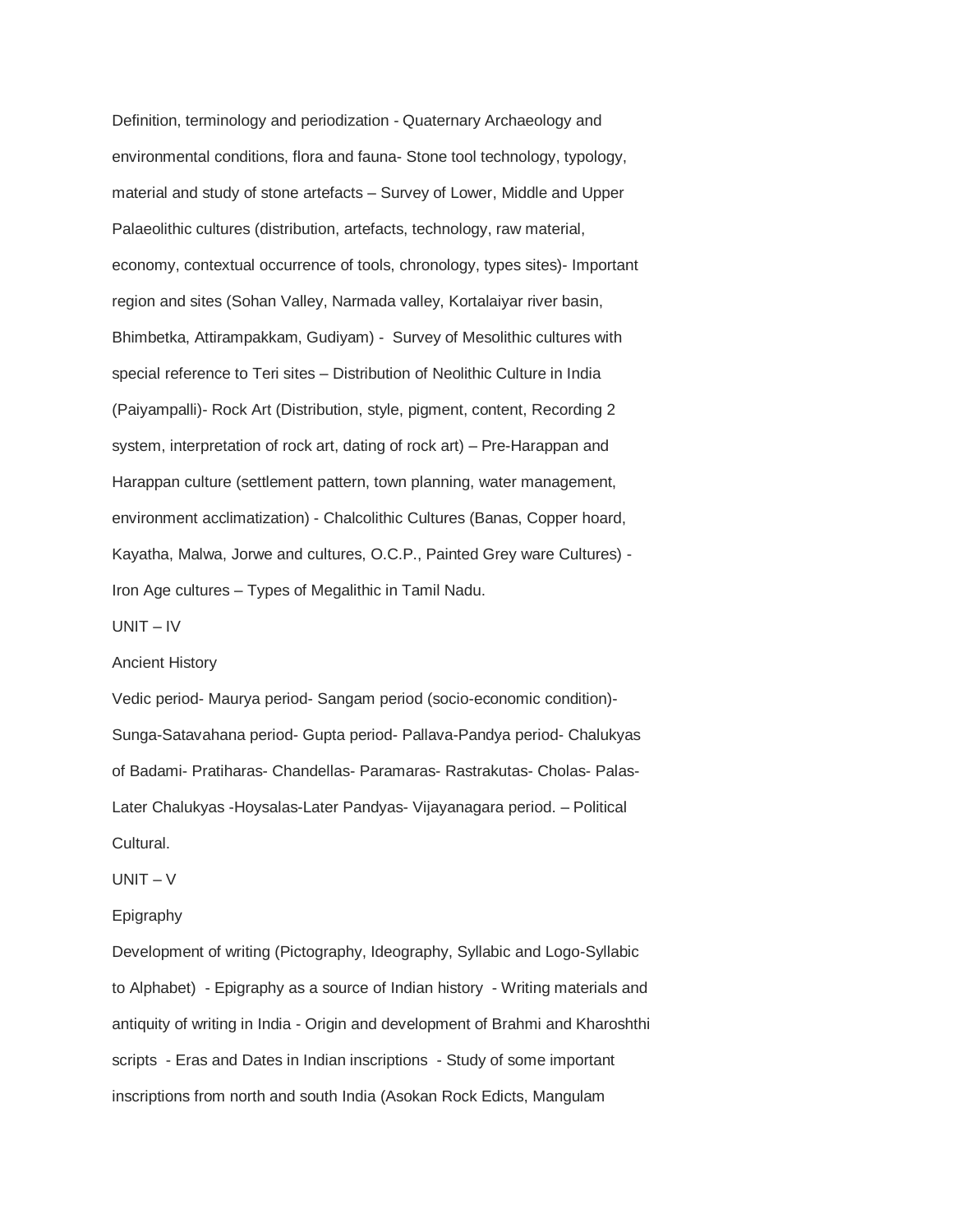Definition, terminology and periodization - Quaternary Archaeology and environmental conditions, flora and fauna- Stone tool technology, typology, material and study of stone artefacts – Survey of Lower, Middle and Upper Palaeolithic cultures (distribution, artefacts, technology, raw material, economy, contextual occurrence of tools, chronology, types sites)- Important region and sites (Sohan Valley, Narmada valley, Kortalaiyar river basin, Bhimbetka, Attirampakkam, Gudiyam) - Survey of Mesolithic cultures with special reference to Teri sites – Distribution of Neolithic Culture in India (Paiyampalli)- Rock Art (Distribution, style, pigment, content, Recording 2 system, interpretation of rock art, dating of rock art) – Pre-Harappan and Harappan culture (settlement pattern, town planning, water management, environment acclimatization) - Chalcolithic Cultures (Banas, Copper hoard, Kayatha, Malwa, Jorwe and cultures, O.C.P., Painted Grey ware Cultures) - Iron Age cultures – Types of Megalithic in Tamil Nadu.

UNIT – IV

Ancient History

Vedic period- Maurya period- Sangam period (socio-economic condition)- Sunga-Satavahana period- Gupta period- Pallava-Pandya period- Chalukyas of Badami- Pratiharas- Chandellas- Paramaras- Rastrakutas- Cholas- Palas-Later Chalukyas -Hoysalas-Later Pandyas- Vijayanagara period. – Political Cultural.

 $UNIT - V$ 

# Epigraphy

Development of writing (Pictography, Ideography, Syllabic and Logo-Syllabic to Alphabet) - Epigraphy as a source of Indian history - Writing materials and antiquity of writing in India - Origin and development of Brahmi and Kharoshthi scripts - Eras and Dates in Indian inscriptions - Study of some important inscriptions from north and south India (Asokan Rock Edicts, Mangulam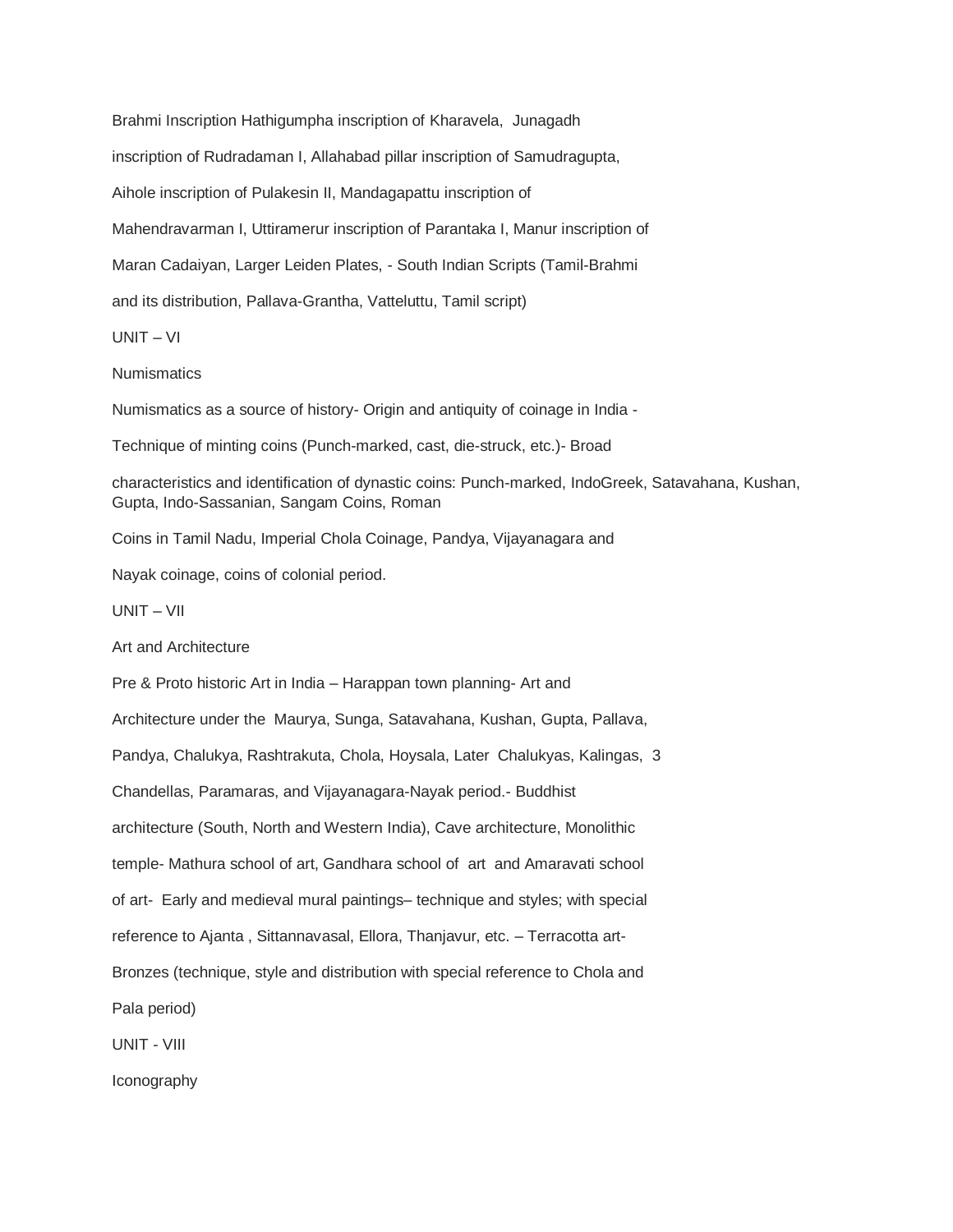Brahmi Inscription Hathigumpha inscription of Kharavela, Junagadh inscription of Rudradaman I, Allahabad pillar inscription of Samudragupta, Aihole inscription of Pulakesin II, Mandagapattu inscription of Mahendravarman I, Uttiramerur inscription of Parantaka I, Manur inscription of Maran Cadaiyan, Larger Leiden Plates, - South Indian Scripts (Tamil-Brahmi and its distribution, Pallava-Grantha, Vatteluttu, Tamil script)

UNIT – VI

**Numismatics** 

Numismatics as a source of history- Origin and antiquity of coinage in India -

Technique of minting coins (Punch-marked, cast, die-struck, etc.)- Broad

characteristics and identification of dynastic coins: Punch-marked, IndoGreek, Satavahana, Kushan, Gupta, Indo-Sassanian, Sangam Coins, Roman

Coins in Tamil Nadu, Imperial Chola Coinage, Pandya, Vijayanagara and

Nayak coinage, coins of colonial period.

UNIT – VII

Art and Architecture

Pre & Proto historic Art in India – Harappan town planning- Art and Architecture under the Maurya, Sunga, Satavahana, Kushan, Gupta, Pallava, Pandya, Chalukya, Rashtrakuta, Chola, Hoysala, Later Chalukyas, Kalingas, 3 Chandellas, Paramaras, and Vijayanagara-Nayak period.- Buddhist architecture (South, North and Western India), Cave architecture, Monolithic temple- Mathura school of art, Gandhara school of art and Amaravati school of art- Early and medieval mural paintings– technique and styles; with special reference to Ajanta , Sittannavasal, Ellora, Thanjavur, etc. – Terracotta art-Bronzes (technique, style and distribution with special reference to Chola and Pala period) UNIT - VIII

Iconography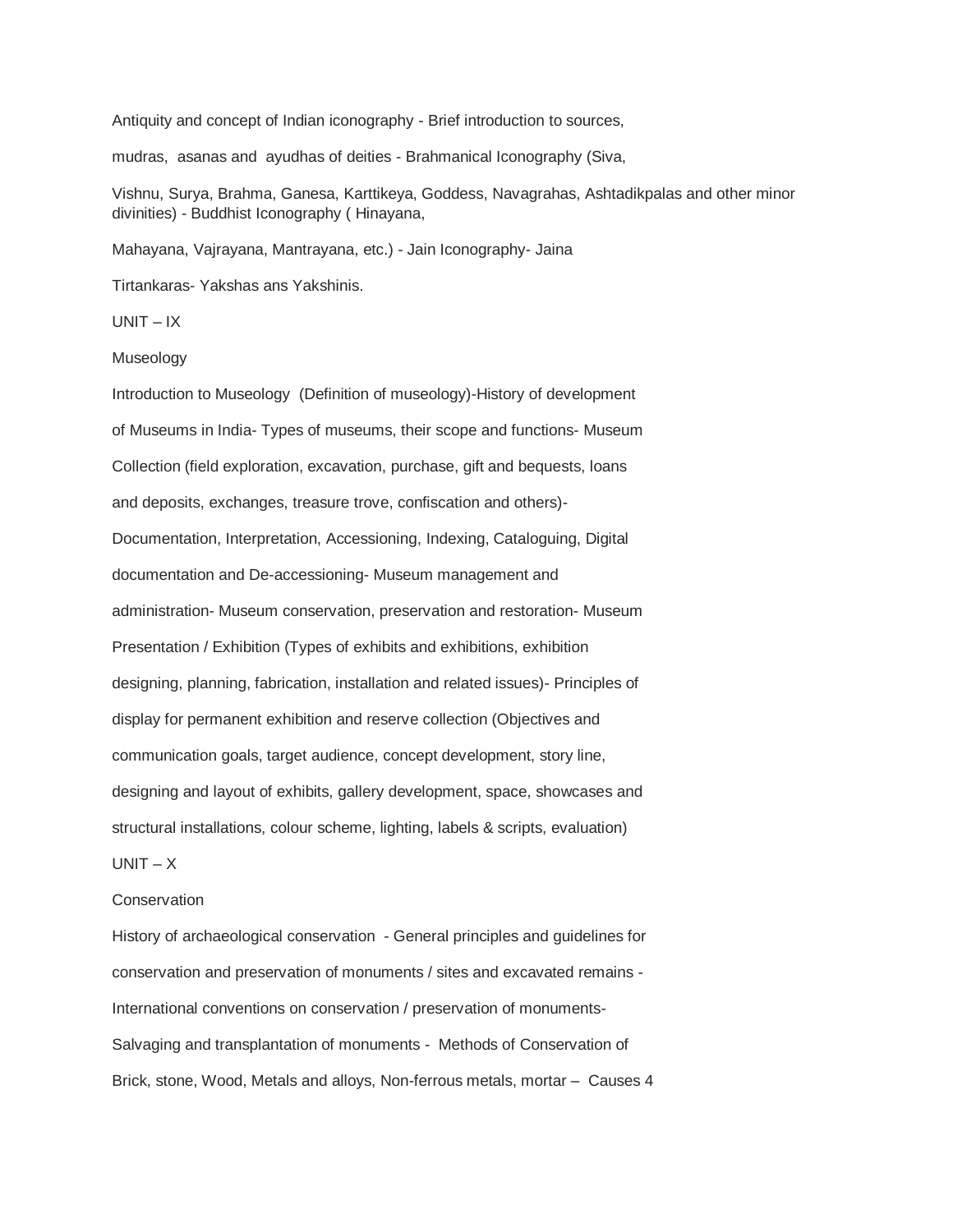Antiquity and concept of Indian iconography - Brief introduction to sources,

mudras, asanas and ayudhas of deities - Brahmanical Iconography (Siva,

Vishnu, Surya, Brahma, Ganesa, Karttikeya, Goddess, Navagrahas, Ashtadikpalas and other minor divinities) - Buddhist Iconography ( Hinayana,

Mahayana, Vajrayana, Mantrayana, etc.) - Jain Iconography- Jaina

Tirtankaras- Yakshas ans Yakshinis.

 $UNIT - IX$ 

#### Museology

Introduction to Museology (Definition of museology)-History of development of Museums in India- Types of museums, their scope and functions- Museum Collection (field exploration, excavation, purchase, gift and bequests, loans and deposits, exchanges, treasure trove, confiscation and others)- Documentation, Interpretation, Accessioning, Indexing, Cataloguing, Digital documentation and De-accessioning- Museum management and administration- Museum conservation, preservation and restoration- Museum Presentation / Exhibition (Types of exhibits and exhibitions, exhibition designing, planning, fabrication, installation and related issues)- Principles of display for permanent exhibition and reserve collection (Objectives and communication goals, target audience, concept development, story line, designing and layout of exhibits, gallery development, space, showcases and structural installations, colour scheme, lighting, labels & scripts, evaluation)

# $UNIT - X$

## **Conservation**

History of archaeological conservation - General principles and guidelines for conservation and preservation of monuments / sites and excavated remains - International conventions on conservation / preservation of monuments-Salvaging and transplantation of monuments - Methods of Conservation of Brick, stone, Wood, Metals and alloys, Non-ferrous metals, mortar – Causes 4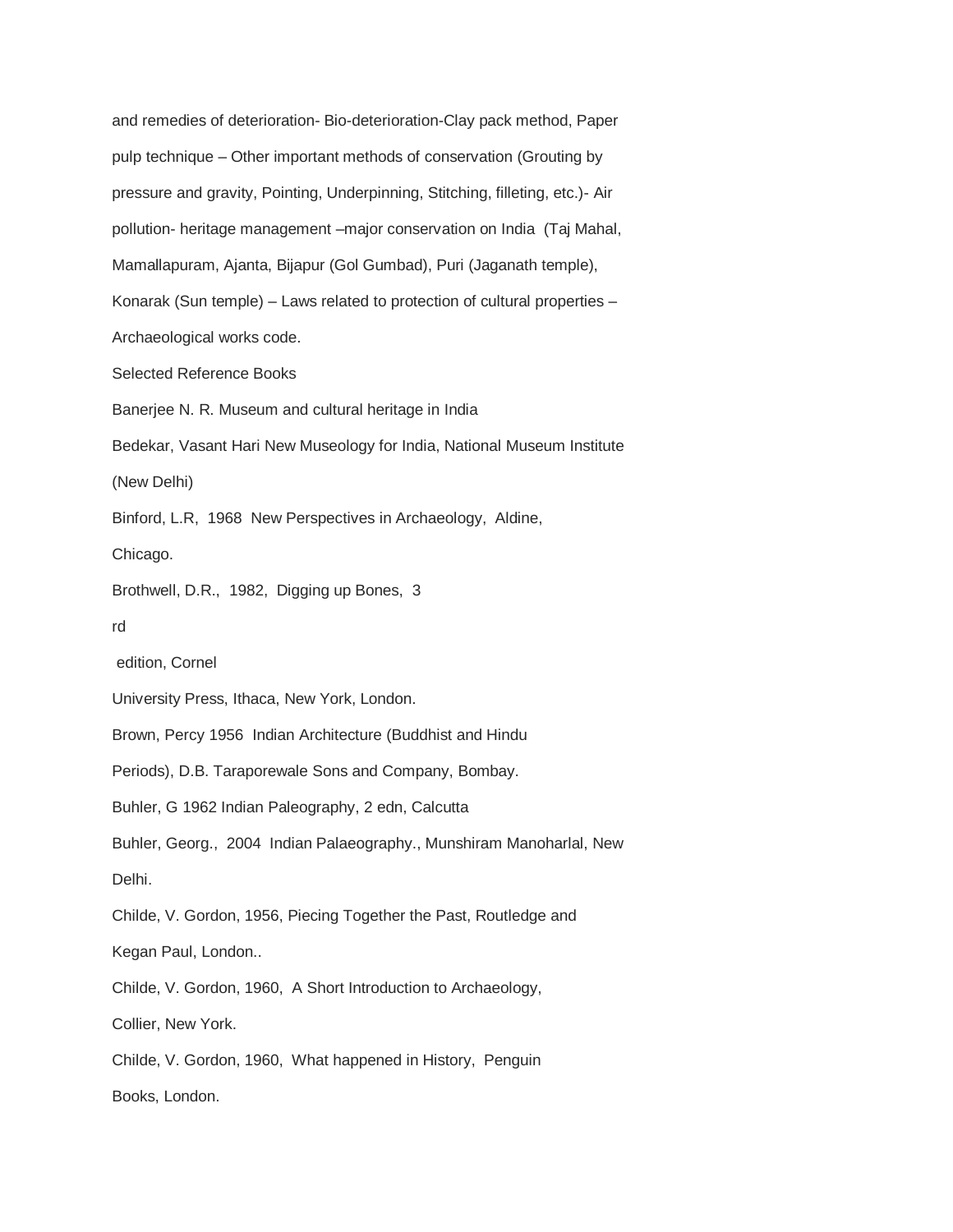and remedies of deterioration- Bio-deterioration-Clay pack method, Paper pulp technique – Other important methods of conservation (Grouting by pressure and gravity, Pointing, Underpinning, Stitching, filleting, etc.)- Air pollution- heritage management –major conservation on India (Taj Mahal, Mamallapuram, Ajanta, Bijapur (Gol Gumbad), Puri (Jaganath temple), Konarak (Sun temple) – Laws related to protection of cultural properties – Archaeological works code. Selected Reference Books Banerjee N. R. Museum and cultural heritage in India Bedekar, Vasant Hari New Museology for India, National Museum Institute (New Delhi) Binford, L.R, 1968 New Perspectives in Archaeology, Aldine, Chicago. Brothwell, D.R., 1982, Digging up Bones, 3 rd edition, Cornel University Press, Ithaca, New York, London. Brown, Percy 1956 Indian Architecture (Buddhist and Hindu Periods), D.B. Taraporewale Sons and Company, Bombay. Buhler, G 1962 Indian Paleography, 2 edn, Calcutta Buhler, Georg., 2004 Indian Palaeography., Munshiram Manoharlal, New Delhi. Childe, V. Gordon, 1956, Piecing Together the Past, Routledge and Kegan Paul, London.. Childe, V. Gordon, 1960, A Short Introduction to Archaeology, Collier, New York. Childe, V. Gordon, 1960, What happened in History, Penguin Books, London.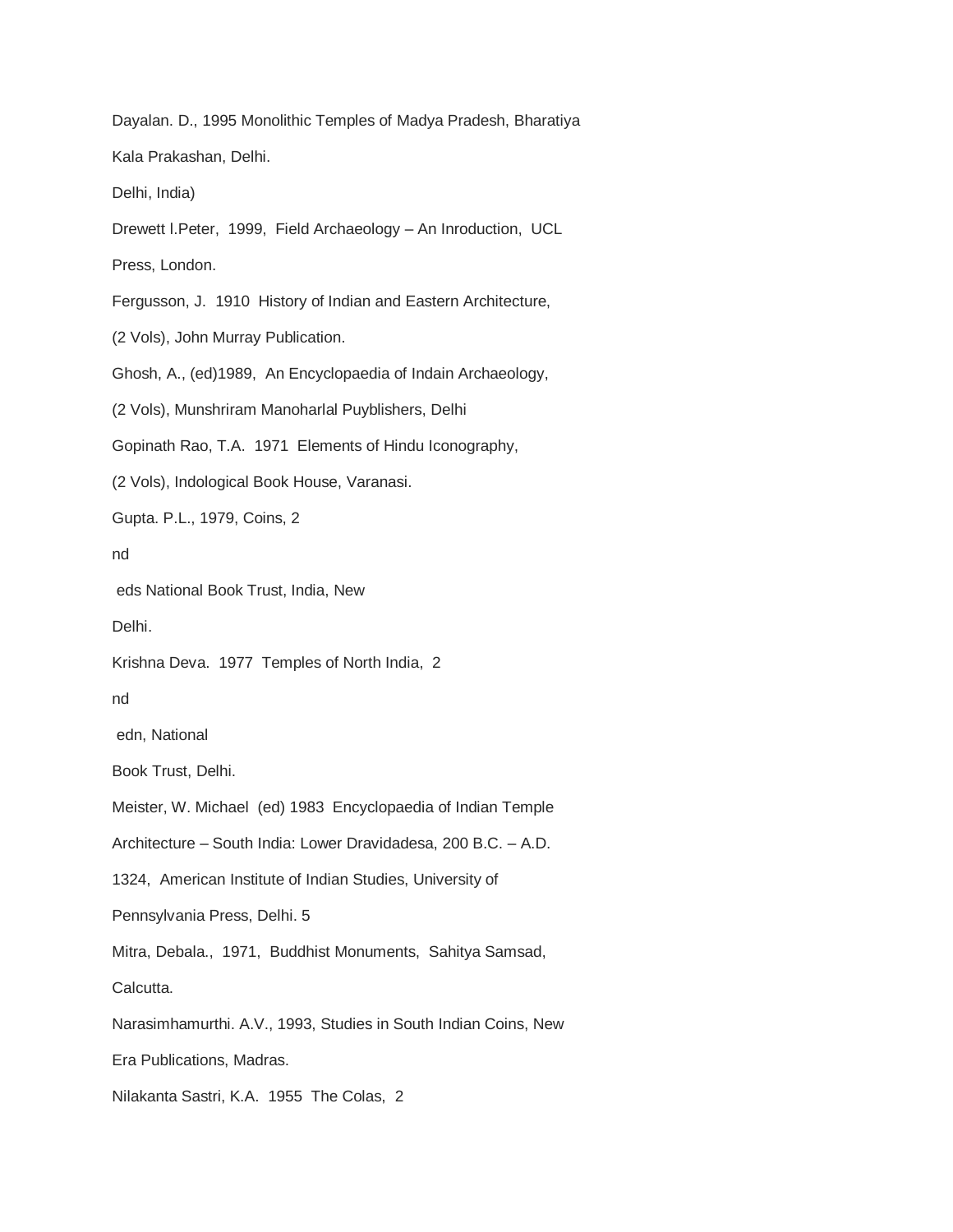Dayalan. D., 1995 Monolithic Temples of Madya Pradesh, Bharatiya Kala Prakashan, Delhi. Delhi, India) Drewett l.Peter, 1999, Field Archaeology – An Inroduction, UCL Press, London. Fergusson, J. 1910 History of Indian and Eastern Architecture, (2 Vols), John Murray Publication. Ghosh, A., (ed)1989, An Encyclopaedia of Indain Archaeology, (2 Vols), Munshriram Manoharlal Puyblishers, Delhi Gopinath Rao, T.A. 1971 Elements of Hindu Iconography, (2 Vols), Indological Book House, Varanasi. Gupta. P.L., 1979, Coins, 2 nd eds National Book Trust, India, New Delhi. Krishna Deva. 1977 Temples of North India, 2 nd edn, National Book Trust, Delhi. Meister, W. Michael (ed) 1983 Encyclopaedia of Indian Temple Architecture – South India: Lower Dravidadesa, 200 B.C. – A.D. 1324, American Institute of Indian Studies, University of Pennsylvania Press, Delhi. 5 Mitra, Debala., 1971, Buddhist Monuments, Sahitya Samsad, Calcutta. Narasimhamurthi. A.V., 1993, Studies in South Indian Coins, New Era Publications, Madras. Nilakanta Sastri, K.A. 1955 The Colas, 2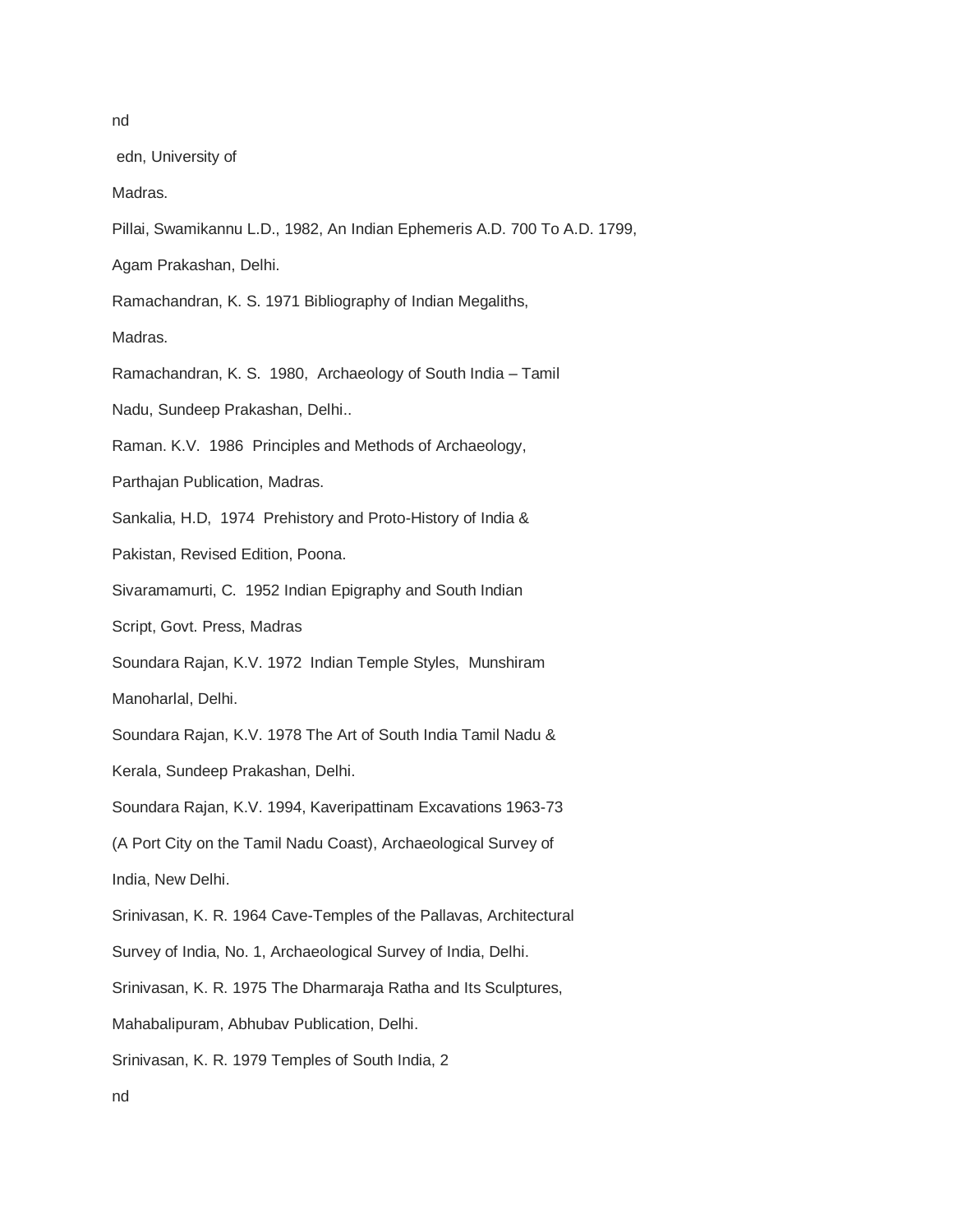edn, University of

Madras.

Pillai, Swamikannu L.D., 1982, An Indian Ephemeris A.D. 700 To A.D. 1799,

Agam Prakashan, Delhi.

Ramachandran, K. S. 1971 Bibliography of Indian Megaliths,

Madras.

Ramachandran, K. S. 1980, Archaeology of South India – Tamil

Nadu, Sundeep Prakashan, Delhi..

Raman. K.V. 1986 Principles and Methods of Archaeology,

Parthajan Publication, Madras.

Sankalia, H.D, 1974 Prehistory and Proto-History of India &

Pakistan, Revised Edition, Poona.

Sivaramamurti, C. 1952 Indian Epigraphy and South Indian

Script, Govt. Press, Madras

Soundara Rajan, K.V. 1972 Indian Temple Styles, Munshiram

Manoharlal, Delhi.

Soundara Rajan, K.V. 1978 The Art of South India Tamil Nadu &

Kerala, Sundeep Prakashan, Delhi.

Soundara Rajan, K.V. 1994, Kaveripattinam Excavations 1963-73

(A Port City on the Tamil Nadu Coast), Archaeological Survey of India, New Delhi.

Srinivasan, K. R. 1964 Cave-Temples of the Pallavas, Architectural

Survey of India, No. 1, Archaeological Survey of India, Delhi.

Srinivasan, K. R. 1975 The Dharmaraja Ratha and Its Sculptures,

Mahabalipuram, Abhubav Publication, Delhi.

Srinivasan, K. R. 1979 Temples of South India, 2

nd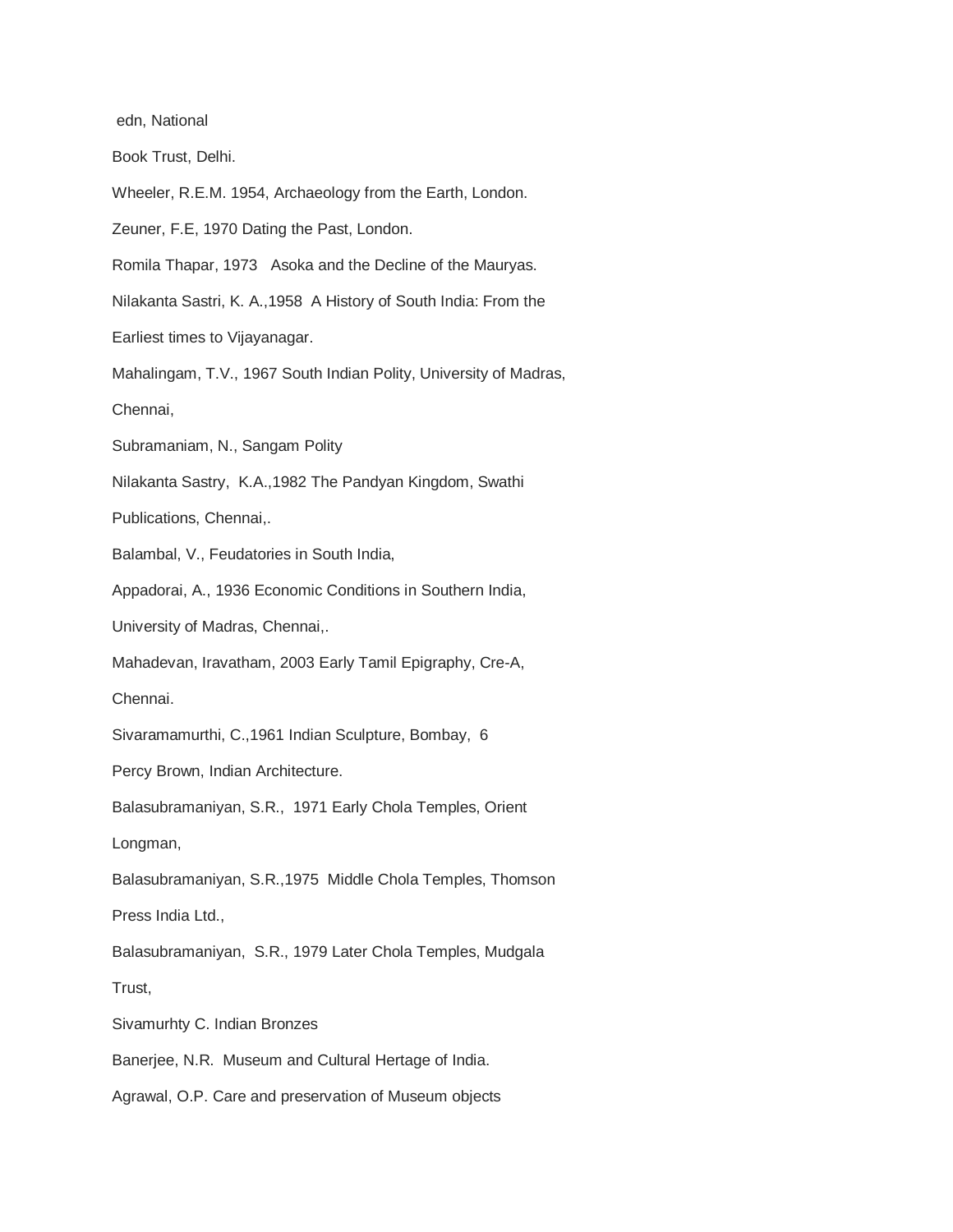edn, National Book Trust, Delhi. Wheeler, R.E.M. 1954, Archaeology from the Earth, London. Zeuner, F.E, 1970 Dating the Past, London. Romila Thapar, 1973 Asoka and the Decline of the Mauryas. Nilakanta Sastri, K. A.,1958 A History of South India: From the Earliest times to Vijayanagar. Mahalingam, T.V., 1967 South Indian Polity, University of Madras, Chennai, Subramaniam, N., Sangam Polity Nilakanta Sastry, K.A.,1982 The Pandyan Kingdom, Swathi Publications, Chennai,. Balambal, V., Feudatories in South India, Appadorai, A., 1936 Economic Conditions in Southern India, University of Madras, Chennai,. Mahadevan, Iravatham, 2003 Early Tamil Epigraphy, Cre-A, Chennai. Sivaramamurthi, C.,1961 Indian Sculpture, Bombay, 6 Percy Brown, Indian Architecture. Balasubramaniyan, S.R., 1971 Early Chola Temples, Orient Longman, Balasubramaniyan, S.R.,1975 Middle Chola Temples, Thomson Press India Ltd., Balasubramaniyan, S.R., 1979 Later Chola Temples, Mudgala Trust, Sivamurhty C. Indian Bronzes Banerjee, N.R. Museum and Cultural Hertage of India. Agrawal, O.P. Care and preservation of Museum objects